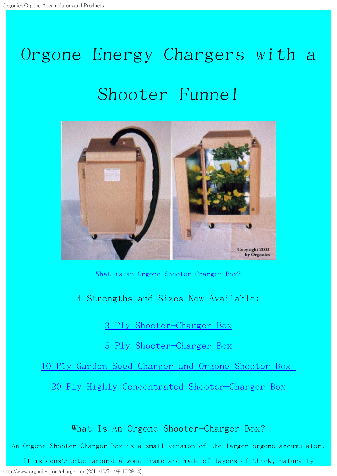# <span id="page-0-1"></span>Orgone Energy Chargers with <sup>a</sup> Shooter Funnel



What is an Orgone [Shooter-Charger](#page-0-0) Box?

4 Strengths and Sizes Now Available:

3 Ply [Shooter-Charger](#page-2-0) Box

5 Ply [Shooter-Charger](#page-7-0) Box

10 Ply Garden Seed [Charger](#page-4-0) and Orgone Shooter Box

20 Ply Highly Concentrated [Shooter-Charger](#page-0-1) Box

What Is An Orgone Shooter-Charger Box?

<span id="page-0-0"></span>An Orgone Shooter-Charger Box is a small version of the larger orgone accumulator.

http://www.orgonics.com/charger.htm[2011/10/5 上午 10:29:14] It is constructed around a wood frame and made of layers of thick, naturally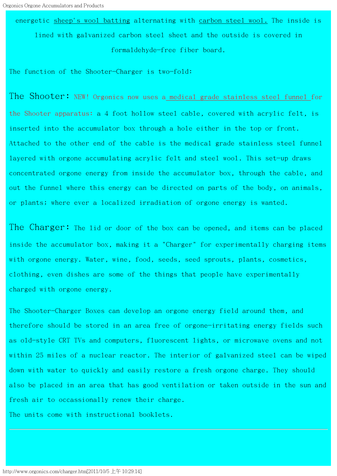energetic sheep's wool batting alternating with carbon steel wool. The inside is lined with galvanized carbon steel sheet and the outside is covered in formaldehyde-free fiber board.

The function of the Shooter-Charger is two-fold:

The Shooter: NEW! Orgonics now uses a medical grade stainless steel funnel for the Shooter apparatus: a 4 foot hollow steel cable, covered with acrylic felt, is inserted into the accumulator box through a hole either in the top or front. Attached to the other end of the cable is the medical grade stainless steel funnel layered with orgone accumulating acrylic felt and steel wool. This set-up draws concentrated orgone energy from inside the accumulator box, through the cable, and out the funnel where this energy can be directed on parts of the body, on animals, or plants; where ever a localized irradiation of orgone energy is wanted.

The Charger: The lid or door of the box can be opened, and items can be placed inside the accumulator box, making it a "Charger" for experimentally charging items with orgone energy. Water, wine, food, seeds, seed sprouts, plants, cosmetics, clothing, even dishes are some of the things that people have experimentally charged with orgone energy.

The Shooter-Charger Boxes can develop an orgone energy field around them, and therefore should be stored in an area free of orgone-irritating energy fields such as old-style CRT TVs and computers, fluorescent lights, or microwave ovens and not within 25 miles of a nuclear reactor. The interior of galvanized steel can be wiped down with water to quickly and easily restore a fresh orgone charge. They should also be placed in an area that has good ventilation or taken outside in the sun and fresh air to occassionally renew their charge.

The units come with instructional booklets.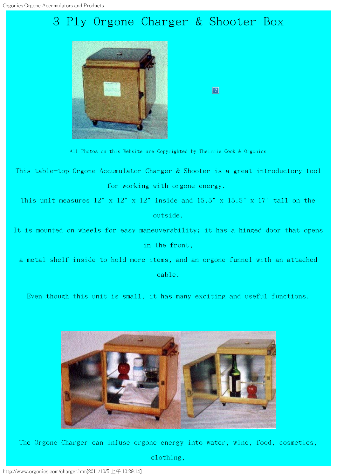## <span id="page-2-0"></span>3 Ply Orgone Charger & Shooter Box



 $\Box$ 

All Photos on this Website are Copyrighted by Theirrie Cook & Orgonics

This table-top Orgone Accumulator Charger & Shooter is a great introductory tool for working with orgone energy.

This unit measures  $12''$  x  $12''$  x  $12''$  inside and  $15.5''$  x  $15.5''$  x  $17''$  tall on the outside.

It is mounted on wheels for easy maneuverability; it has a hinged door that opens in the front,

a metal shelf inside to hold more items, and an orgone funnel with an attached cable.

Even though this unit is small, it has many exciting and useful functions.



The Orgone Charger can infuse orgone energy into water, wine, food, cosmetics,

clothing,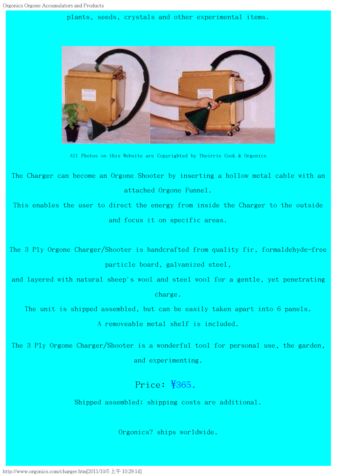plants, seeds, crystals and other experimental items.



All Photos on this Website are Copyrighted by Theirrie Cook & Orgonics

The Charger can become an Orgone Shooter by inserting a hollow metal cable with an attached Orgone Funnel.

This enables the user to direct the energy from inside the Charger to the outside and focus it on specific areas.

The 3 Ply Orgone Charger/Shooter is handcrafted from quality fir, formaldehyde-free particle board, galvanized steel,

and layered with natural sheep's wool and steel wool for a gentle, yet penetrating charge.

The unit is shipped assembled, but can be easily taken apart into 6 panels.

A removeable metal shelf is included.

The 3 Ply Orgone Charger/Shooter is a wonderful tool for personal use, the garden, and experimenting.

#### Price: \$365.

Shipped assembled; shipping costs are additional.

Orgonics? ships worldwide.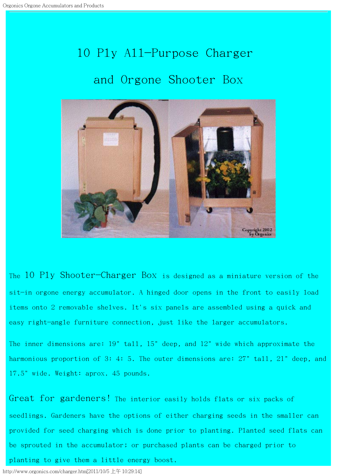# 10 Ply All-Purpose Charger and Orgone Shooter Box

<span id="page-4-0"></span>

The 10 Ply Shooter-Charger Box is designed as a miniature version of the sit-in orgone energy accumulator. A hinged door opens in the front to easily load items onto 2 removable shelves. It's six panels are assembled using a quick and easy right-angle furniture connection, just like the larger accumulators.

The inner dimensions are: 19" tall, 15" deep, and 12" wide which approximate the harmonious proportion of 3: 4: 5. The outer dimensions are: 27" tall, 21" deep, and 17.5" wide. Weight: aprox. 45 pounds.

Great for gardeners! The interior easily holds flats or six packs of seedlings. Gardeners have the options of either charging seeds in the smaller can provided for seed charging which is done prior to planting. Planted seed flats can be sprouted in the accumulator; or purchased plants can be charged prior to

planting to give them a little energy boost.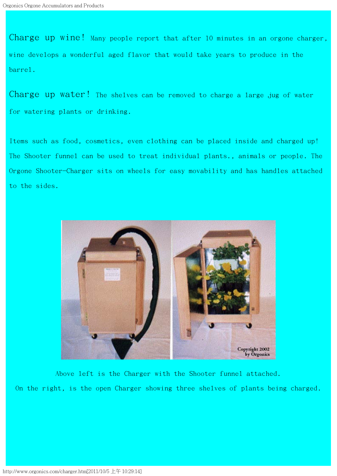Charge up wine! Many people report that after 10 minutes in an orgone charger, wine develops a wonderful aged flavor that would take years to produce in the barrel.

Charge up water! The shelves can be removed to charge a large jug of water for watering plants or drinking.

Items such as food, cosmetics, even clothing can be placed inside and charged up! The Shooter funnel can be used to treat individual plants., animals or people. The Orgone Shooter-Charger sits on wheels for easy movability and has handles attached to the sides.



Above left is the Charger with the Shooter funnel attached. On the right, is the open Charger showing three shelves of plants being charged.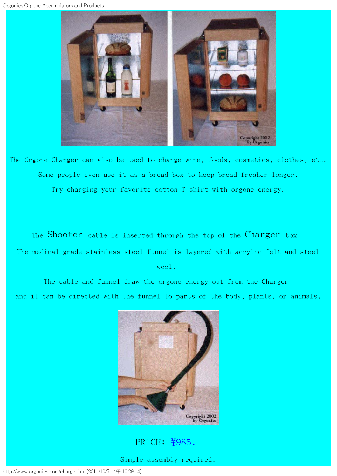

The Orgone Charger can also be used to charge wine, foods, cosmetics, clothes, etc. Some people even use it as a bread box to keep bread fresher longer. Try charging your favorite cotton T shirt with orgone energy.

The Shooter cable is inserted through the top of the Charger box.

The medical grade stainless steel funnel is layered with acrylic felt and steel

wool.

The cable and funnel draw the orgone energy out from the Charger and it can be directed with the funnel to parts of the body, plants, or animals.



#### PRICE: ¥985.

Simple assembly required.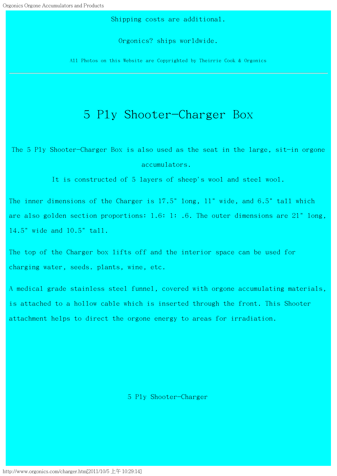Shipping costs are additional.

Orgonics? ships worldwide.

All Photos on this Website are Copyrighted by Theirrie Cook & Orgonics

#### 5 Ply Shooter-Charger Box

<span id="page-7-0"></span>The 5 Ply Shooter-Charger Box is also used as the seat in the large, sit-in orgone accumulators.

It is constructed of 5 layers of sheep's wool and steel wool.

The inner dimensions of the Charger is 17.5" long, 11" wide, and 6.5" tall which are also golden section proportions: 1.6: 1: .6. The outer dimensions are 21" long, 14.5" wide and 10.5" tall.

The top of the Charger box lifts off and the interior space can be used for charging water, seeds. plants, wine, etc.

A medical grade stainless steel funnel, covered with orgone accumulating materials, is attached to a hollow cable which is inserted through the front. This Shooter attachment helps to direct the orgone energy to areas for irradiation.

5 Ply Shooter-Charger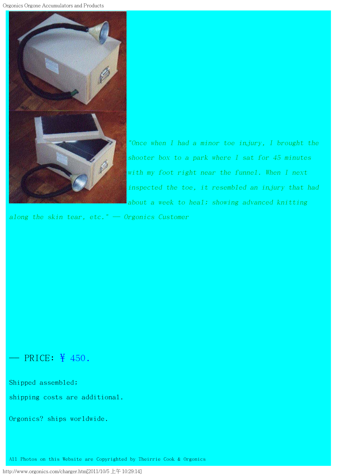Orgonics Orgone Accumulators and Products



"Once when I had <sup>a</sup> minor toe injury, I brought the shooter box to <sup>a</sup> park where I sat for 45 minutes with my foot right near the funnel. When I next inspected the toe, it resembled an injury that had about <sup>a</sup> week to heal; showing advanced knitting

along the skin tear, etc."  $-$  Orgonics Customer

#### $-$  PRICE: \# 450.

Shipped assembled;

shipping costs are additional.

Orgonics? ships worldwide.

All Photos on this Website are Copyrighted by Theirrie Cook & Orgonics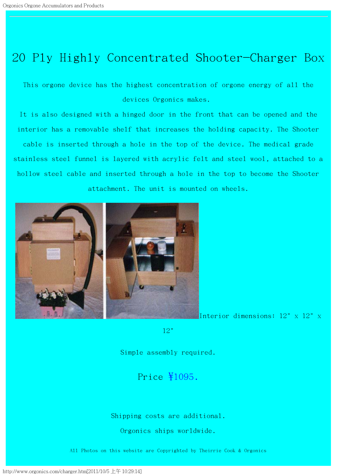### 20 Ply Highly Concentrated Shooter-Charger Box

This orgone device has the highest concentration of orgone energy of all the devices Orgonics makes.

It is also designed with a hinged door in the front that can be opened and the interior has a removable shelf that increases the holding capacity. The Shooter cable is inserted through a hole in the top of the device. The medical grade stainless steel funnel is layered with acrylic felt and steel wool, attached to a hollow steel cable and inserted through a hole in the top to become the Shooter attachment. The unit is mounted on wheels.



Interior dimensions:  $12"$  x  $12"$  x

12"

Simple assembly required.

#### Price \$1095.

Shipping costs are additional.

Orgonics ships worldwide.

All Photos on this website are Copyrighted by Theirrie Cook & Orgonics